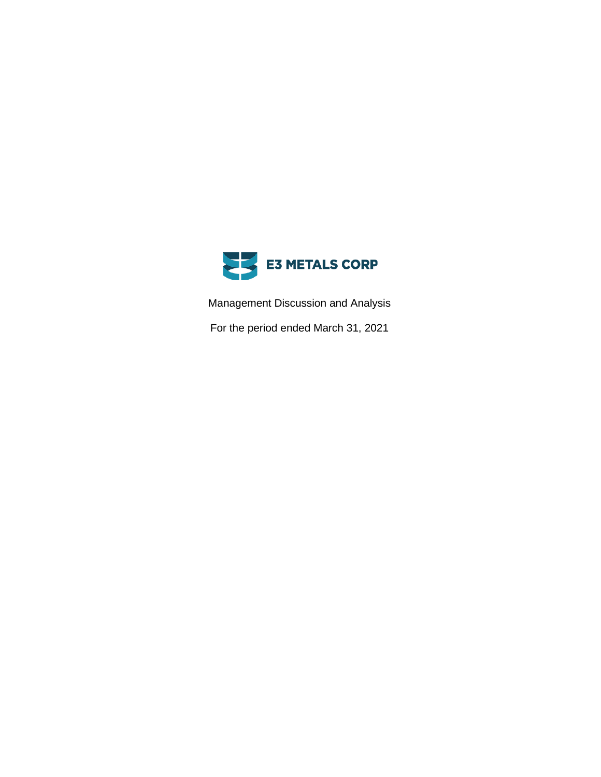

Management Discussion and Analysis

For the period ended March 31, 2021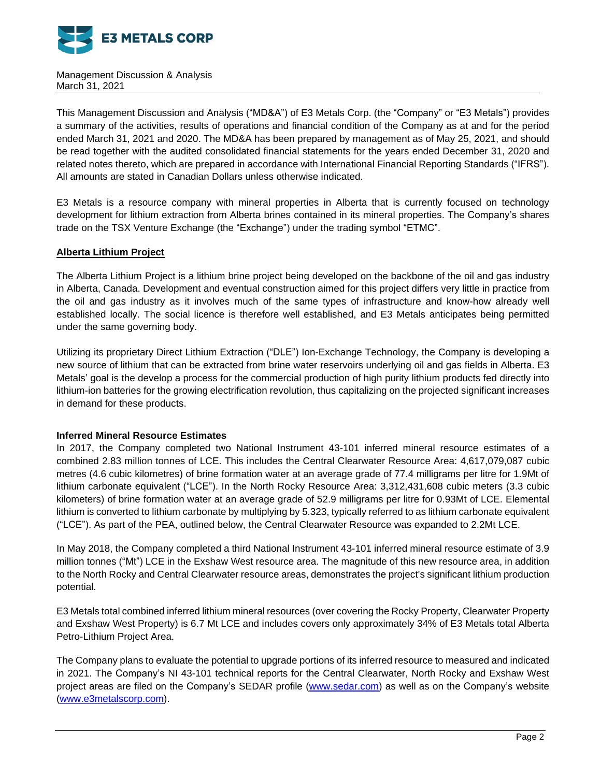

This Management Discussion and Analysis ("MD&A") of E3 Metals Corp. (the "Company" or "E3 Metals") provides a summary of the activities, results of operations and financial condition of the Company as at and for the period ended March 31, 2021 and 2020. The MD&A has been prepared by management as of May 25, 2021, and should be read together with the audited consolidated financial statements for the years ended December 31, 2020 and related notes thereto, which are prepared in accordance with International Financial Reporting Standards ("IFRS"). All amounts are stated in Canadian Dollars unless otherwise indicated.

E3 Metals is a resource company with mineral properties in Alberta that is currently focused on technology development for lithium extraction from Alberta brines contained in its mineral properties. The Company's shares trade on the TSX Venture Exchange (the "Exchange") under the trading symbol "ETMC".

# **Alberta Lithium Project**

The Alberta Lithium Project is a lithium brine project being developed on the backbone of the oil and gas industry in Alberta, Canada. Development and eventual construction aimed for this project differs very little in practice from the oil and gas industry as it involves much of the same types of infrastructure and know-how already well established locally. The social licence is therefore well established, and E3 Metals anticipates being permitted under the same governing body.

Utilizing its proprietary Direct Lithium Extraction ("DLE") Ion-Exchange Technology, the Company is developing a new source of lithium that can be extracted from brine water reservoirs underlying oil and gas fields in Alberta. E3 Metals' goal is the develop a process for the commercial production of high purity lithium products fed directly into lithium-ion batteries for the growing electrification revolution, thus capitalizing on the projected significant increases in demand for these products.

## **Inferred Mineral Resource Estimates**

In 2017, the Company completed two National Instrument 43-101 inferred mineral resource estimates of a combined 2.83 million tonnes of LCE. This includes the Central Clearwater Resource Area: 4,617,079,087 cubic metres (4.6 cubic kilometres) of brine formation water at an average grade of 77.4 milligrams per litre for 1.9Mt of lithium carbonate equivalent ("LCE"). In the North Rocky Resource Area: 3,312,431,608 cubic meters (3.3 cubic kilometers) of brine formation water at an average grade of 52.9 milligrams per litre for 0.93Mt of LCE. Elemental lithium is converted to lithium carbonate by multiplying by 5.323, typically referred to as lithium carbonate equivalent ("LCE"). As part of the PEA, outlined below, the Central Clearwater Resource was expanded to 2.2Mt LCE.

In May 2018, the Company completed a third National Instrument 43-101 inferred mineral resource estimate of 3.9 million tonnes ("Mt") LCE in the Exshaw West resource area. The magnitude of this new resource area, in addition to the North Rocky and Central Clearwater resource areas, demonstrates the project's significant lithium production potential.

E3 Metals total combined inferred lithium mineral resources (over covering the Rocky Property, Clearwater Property and Exshaw West Property) is 6.7 Mt LCE and includes covers only approximately 34% of E3 Metals total Alberta Petro-Lithium Project Area.

The Company plans to evaluate the potential to upgrade portions of its inferred resource to measured and indicated in 2021. The Company's NI 43-101 technical reports for the Central Clearwater, North Rocky and Exshaw West project areas are filed on the Company's SEDAR profile [\(www.sedar.com\)](http://www.sedar.com/) as well as on the Company's website [\(www.e3metalscorp.com\)](http://www.e3metalscorp.com/).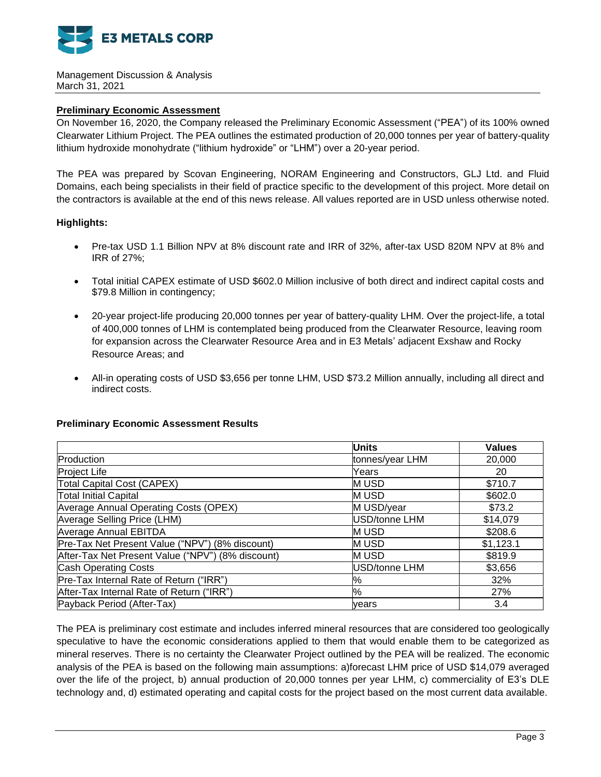

# **Preliminary Economic Assessment**

On November 16, 2020, the Company released the Preliminary Economic Assessment ("PEA") of its 100% owned Clearwater Lithium Project. The PEA outlines the estimated production of 20,000 tonnes per year of battery-quality lithium hydroxide monohydrate ("lithium hydroxide" or "LHM") over a 20-year period.

The PEA was prepared by Scovan Engineering, NORAM Engineering and Constructors, GLJ Ltd. and Fluid Domains, each being specialists in their field of practice specific to the development of this project. More detail on the contractors is available at the end of this news release. All values reported are in USD unless otherwise noted.

# **Highlights:**

- Pre-tax USD 1.1 Billion NPV at 8% discount rate and IRR of 32%, after-tax USD 820M NPV at 8% and IRR of 27%;
- Total initial CAPEX estimate of USD \$602.0 Million inclusive of both direct and indirect capital costs and \$79.8 Million in contingency;
- 20-year project-life producing 20,000 tonnes per year of battery-quality LHM. Over the project-life, a total of 400,000 tonnes of LHM is contemplated being produced from the Clearwater Resource, leaving room for expansion across the Clearwater Resource Area and in E3 Metals' adjacent Exshaw and Rocky Resource Areas; and
- All-in operating costs of USD \$3,656 per tonne LHM, USD \$73.2 Million annually, including all direct and indirect costs.

## **Preliminary Economic Assessment Results**

|                                                   | <b>Units</b>         | <b>Values</b> |
|---------------------------------------------------|----------------------|---------------|
| Production                                        | tonnes/year LHM      | 20,000        |
| Project Life                                      | Years                | 20            |
| Total Capital Cost (CAPEX)                        | <b>MUSD</b>          | \$710.7       |
| <b>Total Initial Capital</b>                      | <b>MUSD</b>          | \$602.0       |
| Average Annual Operating Costs (OPEX)             | M USD/year           | \$73.2        |
| Average Selling Price (LHM)                       | USD/tonne LHM        | \$14,079      |
| <b>Average Annual EBITDA</b>                      | <b>MUSD</b>          | \$208.6       |
| Pre-Tax Net Present Value ("NPV") (8% discount)   | <b>MUSD</b>          | \$1,123.1     |
| After-Tax Net Present Value ("NPV") (8% discount) | <b>MUSD</b>          | \$819.9       |
| <b>Cash Operating Costs</b>                       | <b>USD/tonne LHM</b> | \$3,656       |
| Pre-Tax Internal Rate of Return ("IRR")           | %                    | 32%           |
| After-Tax Internal Rate of Return ("IRR")         | $\%$                 | 27%           |
| Payback Period (After-Tax)                        | vears                | 3.4           |

The PEA is preliminary cost estimate and includes inferred mineral resources that are considered too geologically speculative to have the economic considerations applied to them that would enable them to be categorized as mineral reserves. There is no certainty the Clearwater Project outlined by the PEA will be realized. The economic analysis of the PEA is based on the following main assumptions: a)forecast LHM price of USD \$14,079 averaged over the life of the project, b) annual production of 20,000 tonnes per year LHM, c) commerciality of E3's DLE technology and, d) estimated operating and capital costs for the project based on the most current data available.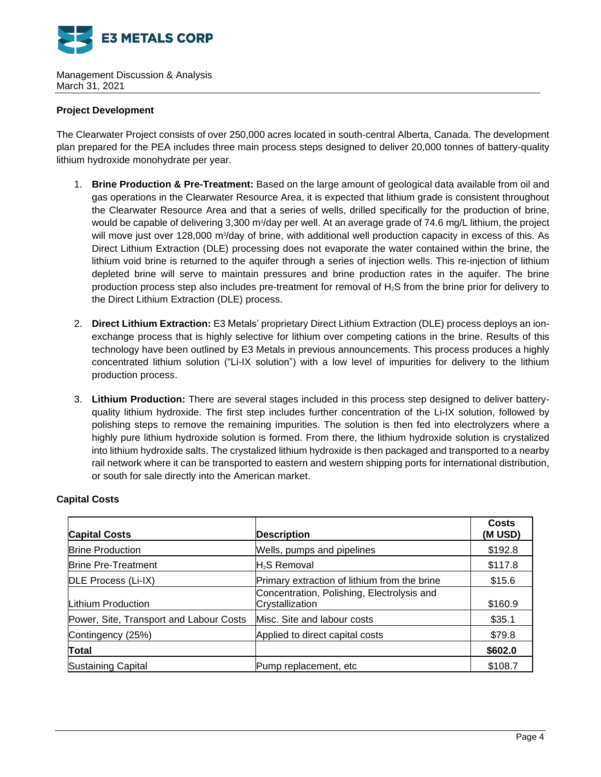

# **Project Development**

The Clearwater Project consists of over 250,000 acres located in south-central Alberta, Canada. The development plan prepared for the PEA includes three main process steps designed to deliver 20,000 tonnes of battery-quality lithium hydroxide monohydrate per year.

- 1. **Brine Production & Pre-Treatment:** Based on the large amount of geological data available from oil and gas operations in the Clearwater Resource Area, it is expected that lithium grade is consistent throughout the Clearwater Resource Area and that a series of wells, drilled specifically for the production of brine, would be capable of delivering 3,300 m<sup>3</sup>/day per well. At an average grade of 74.6 mg/L lithium, the project will move just over 128,000 m<sup>3</sup>/day of brine, with additional well production capacity in excess of this. As Direct Lithium Extraction (DLE) processing does not evaporate the water contained within the brine, the lithium void brine is returned to the aquifer through a series of injection wells. This re-injection of lithium depleted brine will serve to maintain pressures and brine production rates in the aquifer. The brine production process step also includes pre-treatment for removal of H2S from the brine prior for delivery to the Direct Lithium Extraction (DLE) process.
- 2. **Direct Lithium Extraction:** E3 Metals' proprietary Direct Lithium Extraction (DLE) process deploys an ionexchange process that is highly selective for lithium over competing cations in the brine. Results of this technology have been outlined by E3 Metals in previous announcements. This process produces a highly concentrated lithium solution ("Li-IX solution") with a low level of impurities for delivery to the lithium production process.
- 3. **Lithium Production:** There are several stages included in this process step designed to deliver batteryquality lithium hydroxide. The first step includes further concentration of the Li-IX solution, followed by polishing steps to remove the remaining impurities. The solution is then fed into electrolyzers where a highly pure lithium hydroxide solution is formed. From there, the lithium hydroxide solution is crystalized into lithium hydroxide salts. The crystalized lithium hydroxide is then packaged and transported to a nearby rail network where it can be transported to eastern and western shipping ports for international distribution, or south for sale directly into the American market.

| <b>Capital Costs</b>                    | <b>Description</b>                                            | Costs<br>(M USD) |
|-----------------------------------------|---------------------------------------------------------------|------------------|
| <b>Brine Production</b>                 | Wells, pumps and pipelines                                    | \$192.8          |
| <b>Brine Pre-Treatment</b>              | lH∍S Removal                                                  | \$117.8          |
| DLE Process (Li-IX)                     | Primary extraction of lithium from the brine                  | \$15.6           |
| Lithium Production                      | Concentration, Polishing, Electrolysis and<br>Crystallization | \$160.9          |
| Power, Site, Transport and Labour Costs | Misc. Site and labour costs                                   | \$35.1           |
| Contingency (25%)                       | Applied to direct capital costs                               | \$79.8           |
| Total                                   |                                                               | \$602.0          |
| <b>Sustaining Capital</b>               | Pump replacement, etc                                         | \$108.7          |

# **Capital Costs**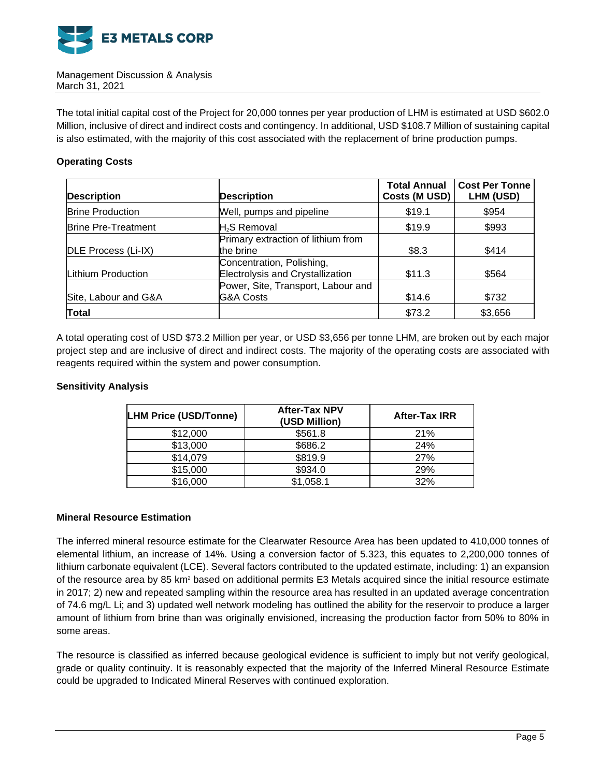

The total initial capital cost of the Project for 20,000 tonnes per year production of LHM is estimated at USD \$602.0 Million, inclusive of direct and indirect costs and contingency. In additional, USD \$108.7 Million of sustaining capital is also estimated, with the majority of this cost associated with the replacement of brine production pumps.

# **Operating Costs**

| <b>Description</b>         | <b>Description</b>                                            | <b>Total Annual</b><br>Costs (M USD) | <b>Cost Per Tonne</b><br>LHM (USD) |
|----------------------------|---------------------------------------------------------------|--------------------------------------|------------------------------------|
| <b>Brine Production</b>    | Well, pumps and pipeline                                      | \$19.1                               | \$954                              |
| <b>Brine Pre-Treatment</b> | H <sub>2</sub> S Removal                                      | \$19.9                               | \$993                              |
| DLE Process (Li-IX)        | Primary extraction of lithium from<br>the brine               | \$8.3                                | \$414                              |
| Lithium Production         | Concentration, Polishing,<br>Electrolysis and Crystallization | \$11.3                               | \$564                              |
| Site, Labour and G&A       | Power, Site, Transport, Labour and<br><b>G&amp;A Costs</b>    | \$14.6                               | \$732                              |
| <b>Total</b>               |                                                               | \$73.2                               | \$3,656                            |

A total operating cost of USD \$73.2 Million per year, or USD \$3,656 per tonne LHM, are broken out by each major project step and are inclusive of direct and indirect costs. The majority of the operating costs are associated with reagents required within the system and power consumption.

## **Sensitivity Analysis**

| <b>LHM Price (USD/Tonne)</b> | <b>After-Tax NPV</b><br>(USD Million) | <b>After-Tax IRR</b> |
|------------------------------|---------------------------------------|----------------------|
| \$12,000                     | \$561.8                               | 21%                  |
| \$13,000                     | \$686.2                               | 24%                  |
| \$14,079                     | \$819.9                               | 27%                  |
| \$15,000                     | \$934.0                               | 29%                  |
| \$16,000                     | \$1,058.1                             | 32%                  |

## **Mineral Resource Estimation**

The inferred mineral resource estimate for the Clearwater Resource Area has been updated to 410,000 tonnes of elemental lithium, an increase of 14%. Using a conversion factor of 5.323, this equates to 2,200,000 tonnes of lithium carbonate equivalent (LCE). Several factors contributed to the updated estimate, including: 1) an expansion of the resource area by 85 km<sup>2</sup> based on additional permits E3 Metals acquired since the initial resource estimate in 2017; 2) new and repeated sampling within the resource area has resulted in an updated average concentration of 74.6 mg/L Li; and 3) updated well network modeling has outlined the ability for the reservoir to produce a larger amount of lithium from brine than was originally envisioned, increasing the production factor from 50% to 80% in some areas.

The resource is classified as inferred because geological evidence is sufficient to imply but not verify geological, grade or quality continuity. It is reasonably expected that the majority of the Inferred Mineral Resource Estimate could be upgraded to Indicated Mineral Reserves with continued exploration.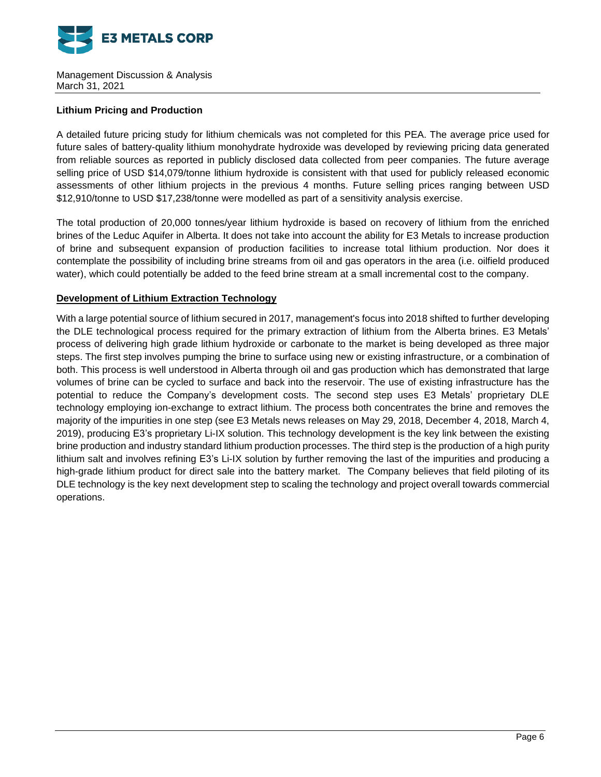

# **Lithium Pricing and Production**

A detailed future pricing study for lithium chemicals was not completed for this PEA. The average price used for future sales of battery-quality lithium monohydrate hydroxide was developed by reviewing pricing data generated from reliable sources as reported in publicly disclosed data collected from peer companies. The future average selling price of USD \$14,079/tonne lithium hydroxide is consistent with that used for publicly released economic assessments of other lithium projects in the previous 4 months. Future selling prices ranging between USD \$12,910/tonne to USD \$17,238/tonne were modelled as part of a sensitivity analysis exercise.

The total production of 20,000 tonnes/year lithium hydroxide is based on recovery of lithium from the enriched brines of the Leduc Aquifer in Alberta. It does not take into account the ability for E3 Metals to increase production of brine and subsequent expansion of production facilities to increase total lithium production. Nor does it contemplate the possibility of including brine streams from oil and gas operators in the area (i.e. oilfield produced water), which could potentially be added to the feed brine stream at a small incremental cost to the company.

# **Development of Lithium Extraction Technology**

With a large potential source of lithium secured in 2017, management's focus into 2018 shifted to further developing the DLE technological process required for the primary extraction of lithium from the Alberta brines. E3 Metals' process of delivering high grade lithium hydroxide or carbonate to the market is being developed as three major steps. The first step involves pumping the brine to surface using new or existing infrastructure, or a combination of both. This process is well understood in Alberta through oil and gas production which has demonstrated that large volumes of brine can be cycled to surface and back into the reservoir. The use of existing infrastructure has the potential to reduce the Company's development costs. The second step uses E3 Metals' proprietary DLE technology employing ion-exchange to extract lithium. The process both concentrates the brine and removes the majority of the impurities in one step (see E3 Metals news releases on May 29, 2018, December 4, 2018, March 4, 2019), producing E3's proprietary Li-IX solution. This technology development is the key link between the existing brine production and industry standard lithium production processes. The third step is the production of a high purity lithium salt and involves refining E3's Li-IX solution by further removing the last of the impurities and producing a high-grade lithium product for direct sale into the battery market. The Company believes that field piloting of its DLE technology is the key next development step to scaling the technology and project overall towards commercial operations.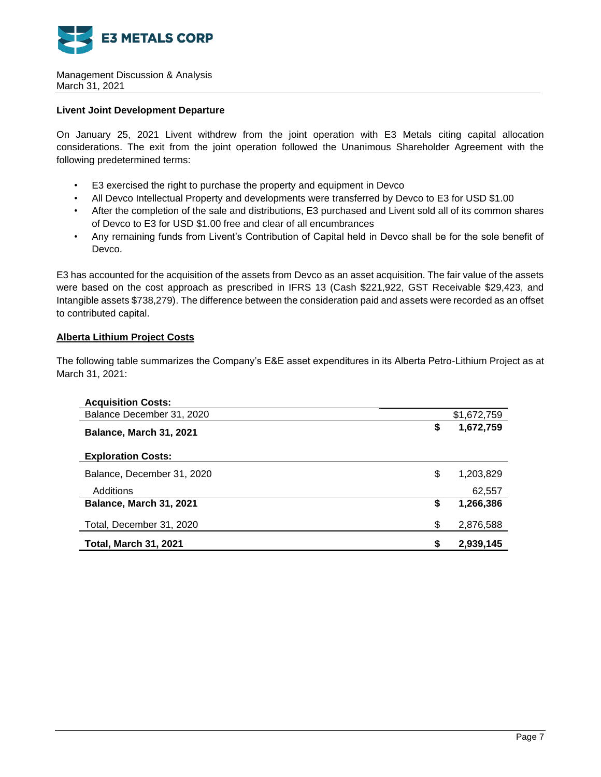

# **Livent Joint Development Departure**

On January 25, 2021 Livent withdrew from the joint operation with E3 Metals citing capital allocation considerations. The exit from the joint operation followed the Unanimous Shareholder Agreement with the following predetermined terms:

- E3 exercised the right to purchase the property and equipment in Devco
- All Devco Intellectual Property and developments were transferred by Devco to E3 for USD \$1.00
- After the completion of the sale and distributions, E3 purchased and Livent sold all of its common shares of Devco to E3 for USD \$1.00 free and clear of all encumbrances
- Any remaining funds from Livent's Contribution of Capital held in Devco shall be for the sole benefit of Devco.

E3 has accounted for the acquisition of the assets from Devco as an asset acquisition. The fair value of the assets were based on the cost approach as prescribed in IFRS 13 (Cash \$221,922, GST Receivable \$29,423, and Intangible assets \$738,279). The difference between the consideration paid and assets were recorded as an offset to contributed capital.

# **Alberta Lithium Project Costs**

The following table summarizes the Company's E&E asset expenditures in its Alberta Petro-Lithium Project as at March 31, 2021:

| <b>Acquisition Costs:</b>      |             |           |
|--------------------------------|-------------|-----------|
| Balance December 31, 2020      | \$1,672,759 |           |
| <b>Balance, March 31, 2021</b> | \$          | 1,672,759 |
| <b>Exploration Costs:</b>      |             |           |
| Balance, December 31, 2020     | \$          | 1,203,829 |
| Additions                      |             | 62,557    |
| Balance, March 31, 2021        | \$          | 1,266,386 |
| Total, December 31, 2020       | \$          | 2,876,588 |
| <b>Total, March 31, 2021</b>   | \$          | 2,939,145 |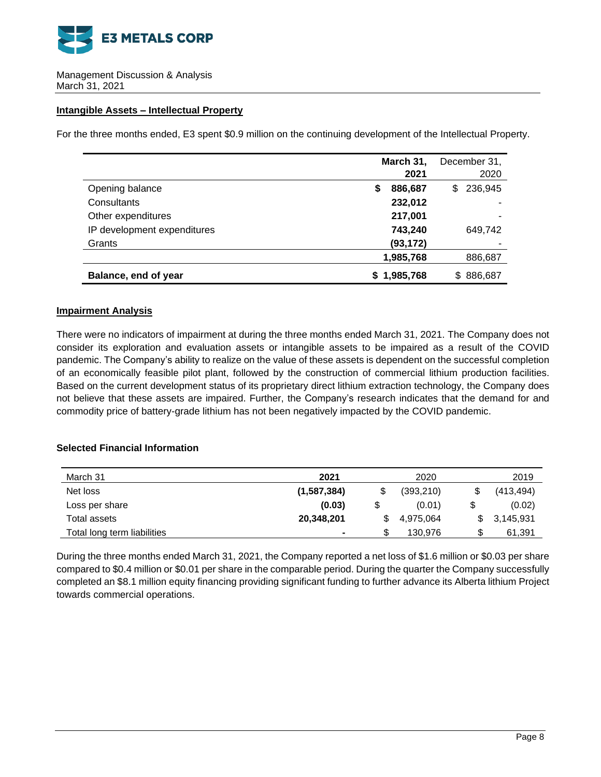

## **Intangible Assets – Intellectual Property**

For the three months ended, E3 spent \$0.9 million on the continuing development of the Intellectual Property.

|                             | March 31, |           | December 31,   |  |
|-----------------------------|-----------|-----------|----------------|--|
|                             |           | 2021      | 2020           |  |
| Opening balance             | S         | 886,687   | 236,945<br>\$  |  |
| Consultants                 |           | 232,012   |                |  |
| Other expenditures          |           | 217,001   |                |  |
| IP development expenditures |           | 743,240   | 649,742        |  |
| Grants                      |           | (93, 172) |                |  |
|                             |           | 1,985,768 | 886,687        |  |
| Balance, end of year        | S.        | 1,985,768 | 886,687<br>\$. |  |

## **Impairment Analysis**

There were no indicators of impairment at during the three months ended March 31, 2021. The Company does not consider its exploration and evaluation assets or intangible assets to be impaired as a result of the COVID pandemic. The Company's ability to realize on the value of these assets is dependent on the successful completion of an economically feasible pilot plant, followed by the construction of commercial lithium production facilities. Based on the current development status of its proprietary direct lithium extraction technology, the Company does not believe that these assets are impaired. Further, the Company's research indicates that the demand for and commodity price of battery-grade lithium has not been negatively impacted by the COVID pandemic.

# **Selected Financial Information**

| March 31                    | 2021        |   | 2020       | 2019            |
|-----------------------------|-------------|---|------------|-----------------|
| Net loss                    | (1,587,384) |   | (393, 210) | \$<br>(413,494) |
| Loss per share              | (0.03)      |   | (0.01)     | \$<br>(0.02)    |
| Total assets                | 20,348,201  |   | 4.975.064  | 3,145,931       |
| Total long term liabilities | ۰           | S | 130.976    | 61,391          |

During the three months ended March 31, 2021, the Company reported a net loss of \$1.6 million or \$0.03 per share compared to \$0.4 million or \$0.01 per share in the comparable period. During the quarter the Company successfully completed an \$8.1 million equity financing providing significant funding to further advance its Alberta lithium Project towards commercial operations.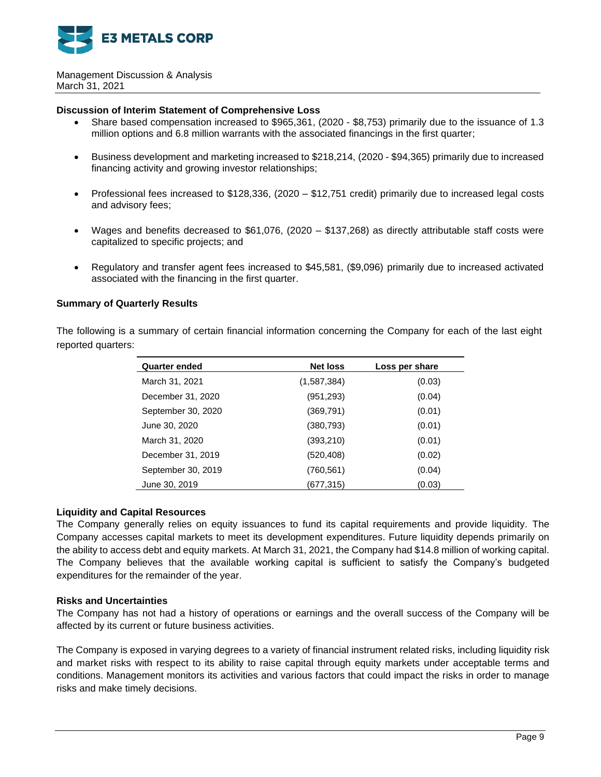

#### **Discussion of Interim Statement of Comprehensive Loss**

- Share based compensation increased to \$965,361, (2020 \$8,753) primarily due to the issuance of 1.3 million options and 6.8 million warrants with the associated financings in the first quarter;
- Business development and marketing increased to \$218,214, (2020 \$94,365) primarily due to increased financing activity and growing investor relationships;
- Professional fees increased to \$128,336, (2020 \$12,751 credit) primarily due to increased legal costs and advisory fees;
- Wages and benefits decreased to \$61,076, (2020 \$137,268) as directly attributable staff costs were capitalized to specific projects; and
- Regulatory and transfer agent fees increased to \$45,581, (\$9,096) primarily due to increased activated associated with the financing in the first quarter.

# **Summary of Quarterly Results**

The following is a summary of certain financial information concerning the Company for each of the last eight reported quarters:

| <b>Quarter ended</b> | <b>Net loss</b> | Loss per share |
|----------------------|-----------------|----------------|
| March 31, 2021       | (1,587,384)     | (0.03)         |
| December 31, 2020    | (951, 293)      | (0.04)         |
| September 30, 2020   | (369, 791)      | (0.01)         |
| June 30, 2020        | (380, 793)      | (0.01)         |
| March 31, 2020       | (393, 210)      | (0.01)         |
| December 31, 2019    | (520, 408)      | (0.02)         |
| September 30, 2019   | (760, 561)      | (0.04)         |
| June 30, 2019        | (677,315)       | (0.03)         |

## **Liquidity and Capital Resources**

The Company generally relies on equity issuances to fund its capital requirements and provide liquidity. The Company accesses capital markets to meet its development expenditures. Future liquidity depends primarily on the ability to access debt and equity markets. At March 31, 2021, the Company had \$14.8 million of working capital. The Company believes that the available working capital is sufficient to satisfy the Company's budgeted expenditures for the remainder of the year.

## **Risks and Uncertainties**

The Company has not had a history of operations or earnings and the overall success of the Company will be affected by its current or future business activities.

The Company is exposed in varying degrees to a variety of financial instrument related risks, including liquidity risk and market risks with respect to its ability to raise capital through equity markets under acceptable terms and conditions. Management monitors its activities and various factors that could impact the risks in order to manage risks and make timely decisions.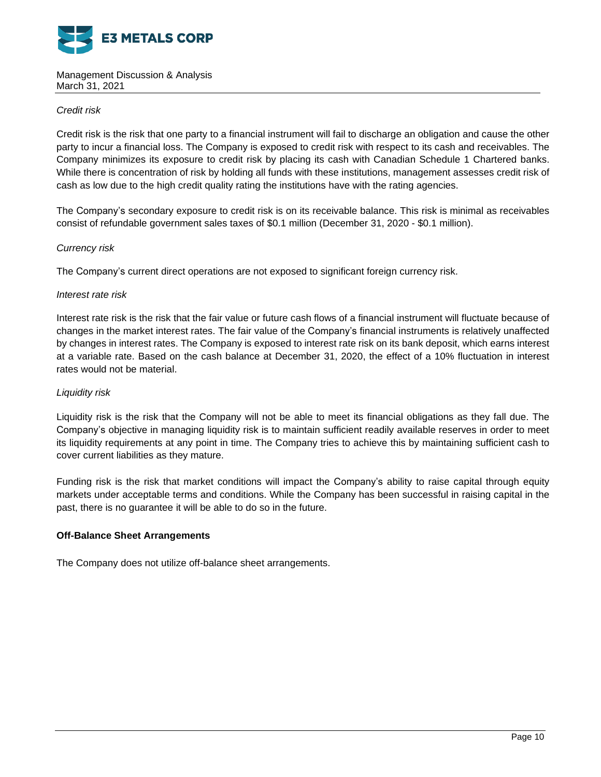

# *Credit risk*

Credit risk is the risk that one party to a financial instrument will fail to discharge an obligation and cause the other party to incur a financial loss. The Company is exposed to credit risk with respect to its cash and receivables. The Company minimizes its exposure to credit risk by placing its cash with Canadian Schedule 1 Chartered banks. While there is concentration of risk by holding all funds with these institutions, management assesses credit risk of cash as low due to the high credit quality rating the institutions have with the rating agencies.

The Company's secondary exposure to credit risk is on its receivable balance. This risk is minimal as receivables consist of refundable government sales taxes of \$0.1 million (December 31, 2020 - \$0.1 million).

# *Currency risk*

The Company's current direct operations are not exposed to significant foreign currency risk.

## *Interest rate risk*

Interest rate risk is the risk that the fair value or future cash flows of a financial instrument will fluctuate because of changes in the market interest rates. The fair value of the Company's financial instruments is relatively unaffected by changes in interest rates. The Company is exposed to interest rate risk on its bank deposit, which earns interest at a variable rate. Based on the cash balance at December 31, 2020, the effect of a 10% fluctuation in interest rates would not be material.

## *Liquidity risk*

Liquidity risk is the risk that the Company will not be able to meet its financial obligations as they fall due. The Company's objective in managing liquidity risk is to maintain sufficient readily available reserves in order to meet its liquidity requirements at any point in time. The Company tries to achieve this by maintaining sufficient cash to cover current liabilities as they mature.

Funding risk is the risk that market conditions will impact the Company's ability to raise capital through equity markets under acceptable terms and conditions. While the Company has been successful in raising capital in the past, there is no guarantee it will be able to do so in the future.

## **Off-Balance Sheet Arrangements**

The Company does not utilize off-balance sheet arrangements.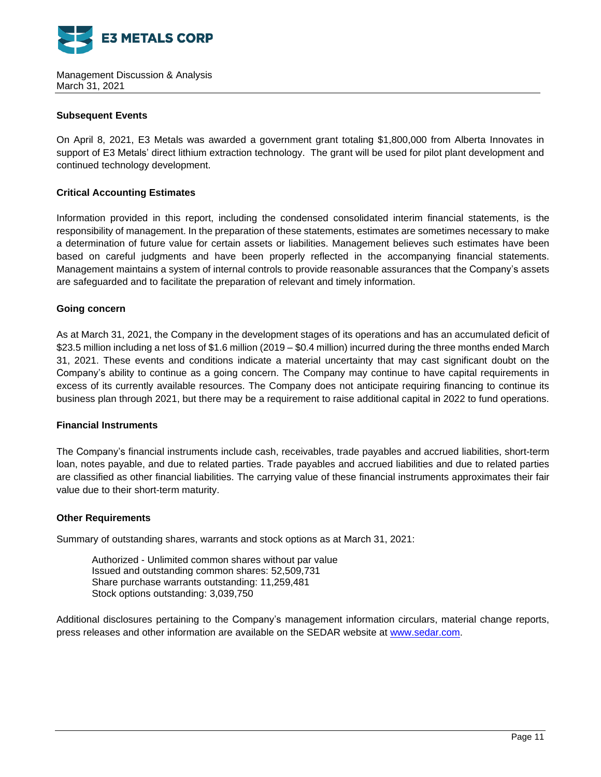

# **Subsequent Events**

On April 8, 2021, E3 Metals was awarded a government grant totaling \$1,800,000 from Alberta Innovates in support of E3 Metals' direct lithium extraction technology. The grant will be used for pilot plant development and continued technology development.

# **Critical Accounting Estimates**

Information provided in this report, including the condensed consolidated interim financial statements, is the responsibility of management. In the preparation of these statements, estimates are sometimes necessary to make a determination of future value for certain assets or liabilities. Management believes such estimates have been based on careful judgments and have been properly reflected in the accompanying financial statements. Management maintains a system of internal controls to provide reasonable assurances that the Company's assets are safeguarded and to facilitate the preparation of relevant and timely information.

# **Going concern**

As at March 31, 2021, the Company in the development stages of its operations and has an accumulated deficit of \$23.5 million including a net loss of \$1.6 million (2019 – \$0.4 million) incurred during the three months ended March 31, 2021. These events and conditions indicate a material uncertainty that may cast significant doubt on the Company's ability to continue as a going concern. The Company may continue to have capital requirements in excess of its currently available resources. The Company does not anticipate requiring financing to continue its business plan through 2021, but there may be a requirement to raise additional capital in 2022 to fund operations.

# **Financial Instruments**

The Company's financial instruments include cash, receivables, trade payables and accrued liabilities, short-term loan, notes payable, and due to related parties. Trade payables and accrued liabilities and due to related parties are classified as other financial liabilities. The carrying value of these financial instruments approximates their fair value due to their short-term maturity.

## **Other Requirements**

Summary of outstanding shares, warrants and stock options as at March 31, 2021:

Authorized - Unlimited common shares without par value Issued and outstanding common shares: 52,509,731 Share purchase warrants outstanding: 11,259,481 Stock options outstanding: 3,039,750

Additional disclosures pertaining to the Company's management information circulars, material change reports, press releases and other information are available on the SEDAR website at [www.sedar.com.](http://www.sedar.com/)